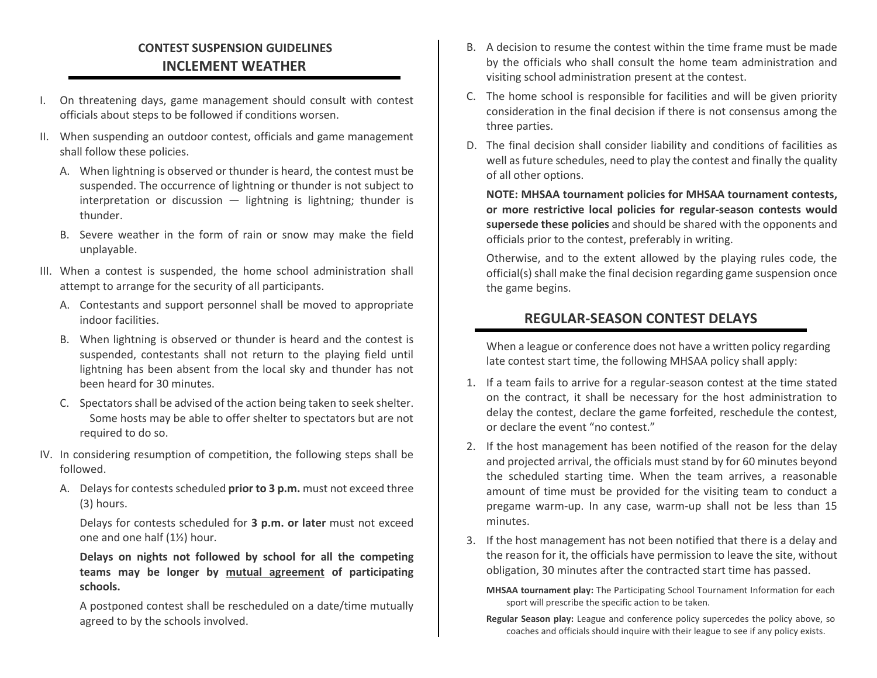## **CONTEST SUSPENSION GUIDELINES INCLEMENT WEATHER**

- I. On threatening days, game management should consult with contest officials about steps to be followed if conditions worsen.
- II. When suspending an outdoor contest, officials and game management shall follow these policies.
	- A. When lightning is observed or thunder is heard, the contest must be suspended. The occurrence of lightning or thunder is not subject to interpretation or discussion  $-$  lightning is lightning; thunder is thunder.
	- B. Severe weather in the form of rain or snow may make the field unplayable.
- III. When a contest is suspended, the home school administration shall attempt to arrange for the security of all participants.
	- A. Contestants and support personnel shall be moved to appropriate indoor facilities.
	- B. When lightning is observed or thunder is heard and the contest is suspended, contestants shall not return to the playing field until lightning has been absent from the local sky and thunder has not been heard for 30 minutes.
	- C. Spectators shall be advised of the action being taken to seek shelter. Some hosts may be able to offer shelter to spectators but are not required to do so.
- IV. In considering resumption of competition, the following steps shall be followed.
	- A. Delays for contests scheduled **prior to 3 p.m.** must not exceed three (3) hours.

Delays for contests scheduled for **3 p.m. or later** must not exceed one and one half (1½) hour.

**Delays on nights not followed by school for all the competing teams may be longer by mutual agreement of participating schools.**

A postponed contest shall be rescheduled on a date/time mutually agreed to by the schools involved.

- B. A decision to resume the contest within the time frame must be made by the officials who shall consult the home team administration and visiting school administration present at the contest.
- C. The home school is responsible for facilities and will be given priority consideration in the final decision if there is not consensus among the three parties.
- D. The final decision shall consider liability and conditions of facilities as well as future schedules, need to play the contest and finally the quality of all other options.

**NOTE: MHSAA tournament policies for MHSAA tournament contests, or more restrictive local policies for regular-season contests would supersede these policies** and should be shared with the opponents and officials prior to the contest, preferably in writing.

Otherwise, and to the extent allowed by the playing rules code, the official(s) shall make the final decision regarding game suspension once the game begins.

## **REGULAR-SEASON CONTEST DELAYS**

When a league or conference does not have a written policy regarding late contest start time, the following MHSAA policy shall apply:

- 1. If a team fails to arrive for a regular-season contest at the time stated on the contract, it shall be necessary for the host administration to delay the contest, declare the game forfeited, reschedule the contest, or declare the event "no contest."
- 2. If the host management has been notified of the reason for the delay and projected arrival, the officials must stand by for 60 minutes beyond the scheduled starting time. When the team arrives, a reasonable amount of time must be provided for the visiting team to conduct a pregame warm-up. In any case, warm-up shall not be less than 15 minutes.
- 3. If the host management has not been notified that there is a delay and the reason for it, the officials have permission to leave the site, without obligation, 30 minutes after the contracted start time has passed.
	- **MHSAA tournament play:** The Participating School Tournament Information for each sport will prescribe the specific action to be taken.
	- **Regular Season play:** League and conference policy supercedes the policy above, so coaches and officials should inquire with their league to see if any policy exists.